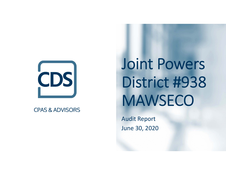

#### **CPAS & ADVISORS**

# Joint Powers District #938 MAWSECO

Audit Report June 30, 2020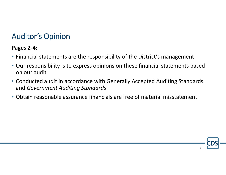## Auditor's Opinion

#### **Pages 2‐4:**

- Financial statements are the responsibility of the District's management
- Our responsibility is to express opinions on these financial statements based on our audit
- Conducted audit in accordance with Generally Accepted Auditing Standards and *Government Auditing Standards*

1

• Obtain reasonable assurance financials are free of material misstatement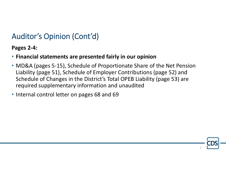# Auditor's Opinion (Cont'd)

**Pages 2‐4:**

- **Financial statements are presented fairly in our opinion**
- MD&A (pages 5‐15), Schedule of Proportionate Share of the Net Pension Liability (page 51), Schedule of Employer Contributions (page 52) and Schedule of Changes in the District's Total OPEB Liability (page 53) are required supplementary information and unaudited
- Internal control letter on pages 68 and 69

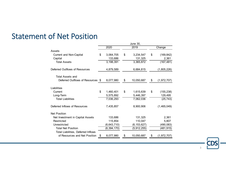#### Statement of Net Position

|                                     | June 30, |               |    |               |    |             |  |
|-------------------------------------|----------|---------------|----|---------------|----|-------------|--|
|                                     |          | 2020          |    | 2019          |    | Change      |  |
| Assets                              |          |               |    |               |    |             |  |
| Current and Non-Capital             | \$       | 3,064,705     | \$ | 3,234,547     | \$ | (169, 842)  |  |
| Capital                             |          | 133,686       |    | 131,325       |    | 2,361       |  |
| <b>Total Assets</b>                 |          | 3,198,391     |    | 3,365,872     |    | (167, 481)  |  |
| Deferred Outflows of Resources      |          | 4,879,589     |    | 6,684,815     |    | (1,805,226) |  |
| <b>Total Assets and</b>             |          |               |    |               |    |             |  |
| Deferred Outflows of Resources \$   |          | 8,077,980     | \$ | 10,050,687    | \$ | (1,972,707) |  |
| Liabilities                         |          |               |    |               |    |             |  |
| Current                             | \$       | 1,460,401     | \$ | 1,615,639     | \$ | (155, 238)  |  |
| Long-Term                           |          | 5,575,892     |    | 5,446,397     |    | 129,495     |  |
| <b>Total Liabilities</b>            |          | 7,036,293     |    | 7,062,036     |    | (25, 743)   |  |
| Deferred Inflows of Resources       |          | 7,435,857     |    | 8,900,906     |    | (1,465,049) |  |
| <b>Net Position</b>                 |          |               |    |               |    |             |  |
| Net Investment in Capital Assets    |          | 133,686       |    | 131,325       |    | 2,361       |  |
| Restricted                          |          | 115,854       |    | 110,047       |    | 5,807       |  |
| Unrestricted                        |          | (6, 643, 710) |    | (6, 153, 627) |    | (490, 083)  |  |
| <b>Total Net Position</b>           |          | (6, 394, 170) |    | (5,912,255)   |    | (481, 915)  |  |
| Total Liabilities, Deferred Inflows |          |               |    |               |    |             |  |
| of Resources and Net Position       | \$       | 8,077,980     | \$ | 10,050,687    | \$ | (1,972,707) |  |
|                                     |          |               |    |               |    |             |  |

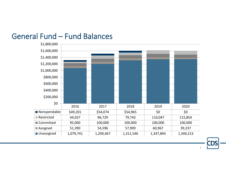#### General Fund – Fund Balances

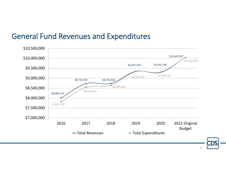### General Fund Revenues and Expenditures

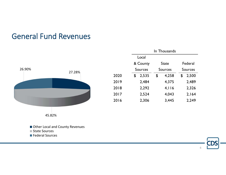#### General Fund Revenues



|      | In Thousands   |       |    |              |                |       |  |
|------|----------------|-------|----|--------------|----------------|-------|--|
|      |                | Local |    |              |                |       |  |
|      | & County       |       |    | <b>State</b> | Federal        |       |  |
|      | <b>Sources</b> |       |    | Sources      | <b>Sources</b> |       |  |
| 2020 | \$             | 2,535 | \$ | 4,258        | \$             | 2,500 |  |
| 2019 |                | 2,484 |    | 4,375        |                | 2,489 |  |
| 2018 |                | 2,292 |    | 4.116        |                | 2,326 |  |
| 2017 |                | 2,524 |    | 4,043        |                | 2,164 |  |
| 2016 |                | 2,306 |    | 3,445        |                | 2,249 |  |

Other Local and County Revenues

State Sources

Federal Sources

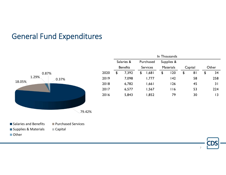## General Fund Expenditures



|      |            |                 | In Thousands |                 |            |                  |    |                |    |       |  |
|------|------------|-----------------|--------------|-----------------|------------|------------------|----|----------------|----|-------|--|
|      | Salaries & |                 | Purchased    |                 | Supplies & |                  |    |                |    |       |  |
|      |            | <b>Benefits</b> |              | <b>Services</b> |            | <b>Materials</b> |    | Capital        |    | Other |  |
| 2020 | \$         | 7,392           | \$           | 1,681           | \$         | 120              | \$ | 8 <sub>1</sub> | \$ | 34    |  |
| 2019 |            | 7,098           |              | 1,777           |            | $ 42\rangle$     |    | 58             |    | 258   |  |
| 2018 |            | 6,782           |              | 1,661           |            | 126              |    | 45             |    | 31    |  |
| 2017 |            | 6,577           |              | 1,567           |            | 116              |    | 53             |    | 224   |  |
| 2016 |            | 5,843           |              | 1,852           |            | 79               |    | 30             |    | 13    |  |
|      |            |                 |              |                 |            |                  |    |                |    |       |  |

- Salaries and**Purchased Services** Supplies & Materials Capital
- Other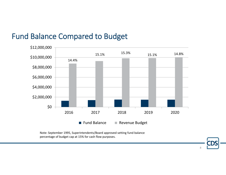### Fund Balance Compared to Budget



8

Note: September 1995, Superintendents/Board approved setting fund balance percentage of budget cap at 15% for cash flow purposes.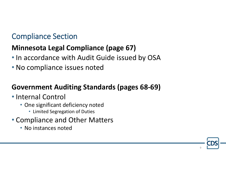## Compliance Section

#### **Minnesota Legal Compliance (page 67)**

- In accordance with Audit Guide issued by OSA
- No compliance issues noted

#### **Government Auditing Standards (pages 68‐69)**

- Internal Control
	- One significant deficiency noted
		- Limited Segregation of Duties
- Compliance and Other Matters
	- No instances noted

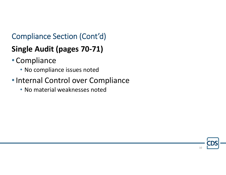# Compliance Section (Cont'd)

# **Single Audit (pages 70‐71)**

- Compliance
	- No compliance issues noted
- •Internal Control over Compliance
	- No material weaknesses noted

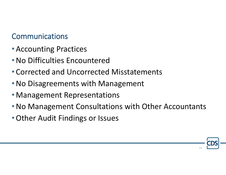# Communications

- Accounting Practices
- •No Difficulties Encountered
- Corrected and Uncorrected Misstatements
- •No Disagreements with Management
- Management Representations
- •No Management Consultations with Other Accountants
- •Other Audit Findings or Issues

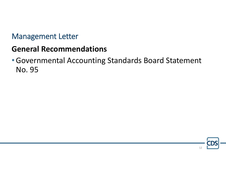#### Management Letter

# **General Recommendations**

•Governmental Accounting Standards Board Statement No. 95